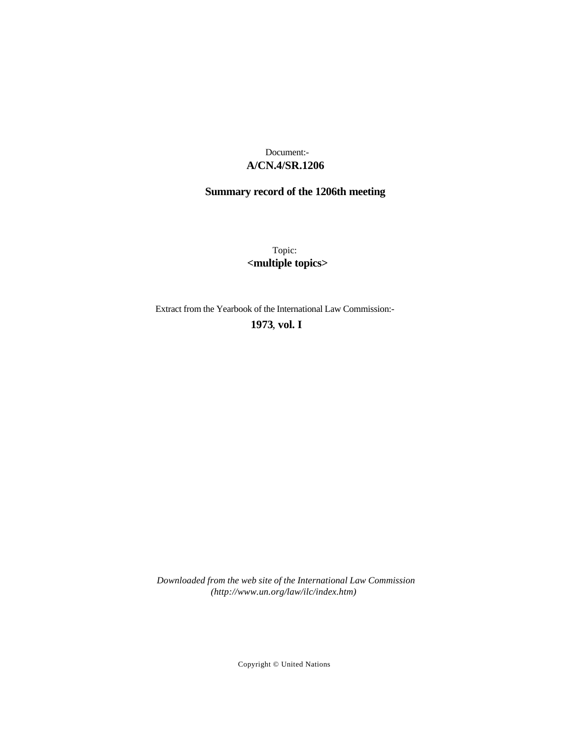# **A/CN.4/SR.1206** Document:-

# **Summary record of the 1206th meeting**

Topic: **<multiple topics>**

Extract from the Yearbook of the International Law Commission:-

## **1973** , **vol. I**

*Downloaded from the web site of the International Law Commission (http://www.un.org/law/ilc/index.htm)*

Copyright © United Nations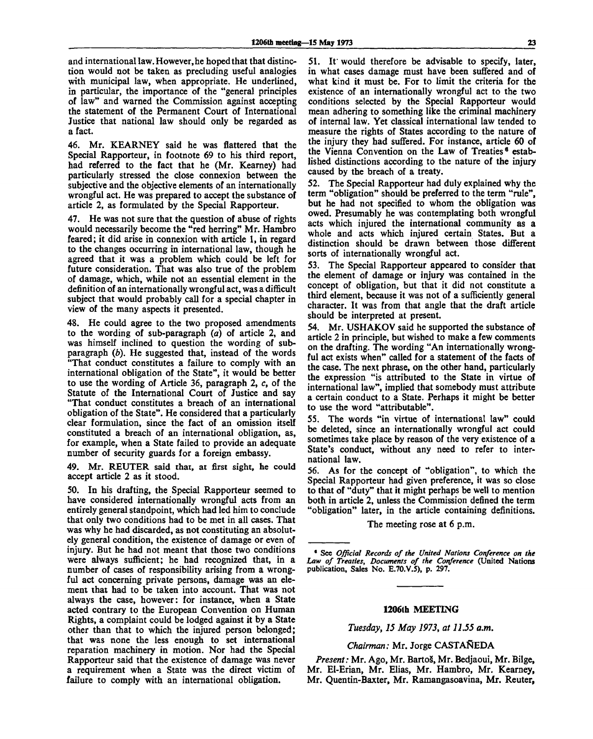and international law. However, he hoped that that distinction would not be taken as precluding useful analogies with municipal law, when appropriate. He underlined, in particular, the importance of the "general principles of law" and warned the Commission against accepting the statement of the Permanent Court of International Justice that national law should only be regarded as a fact.

46. Mr. KEARNEY said he was flattered that the Special Rapporteur, in footnote 69 to his third report, had referred to the fact that he (Mr. Kearney) had particularly stressed the close connexion between the subjective and the objective elements of an internationally wrongful act. He was prepared to accept the substance of article 2, as formulated by the Special Rapporteur.

47. He was not sure that the question of abuse of rights would necessarily become the "red herring" Mr. Hambro feared; it did arise in connexion with article 1, in regard to the changes occurring in international law, though he agreed that it was a problem which could be left for future consideration. That was also true of the problem of damage, which, while not an essential element in the definition of an internationally wrongful act, was a difficult subject that would probably call for a special chapter in view of the many aspects it presented.

48. He could agree to the two proposed amendments to the wording of sub-paragraph *(a)* of article 2, and was himself inclined to question the wording of subparagraph *(b).* He suggested that, instead of the words "That conduct constitutes a failure to comply with an international obligation of the State", it would be better to use the wording of Article 36, paragraph 2, *c,* of the Statute of the International Court of Justice and say "That conduct constitutes a breach of an international obligation of the State". He considered that a particularly clear formulation, since the fact of an omission **itself** constituted a breach of an international obligation, as, for example, when a State failed to provide an adequate number of security guards for a foreign embassy.

49. Mr. REUTER said that, at first sight, he could accept article 2 as it stood.

50. In his drafting, the Special Rapporteur seemed to have considered internationally wrongful acts from an entirely general standpoint, which had led him to conclude that only two conditions had to be met in all cases. That was why he had discarded, as not constituting an absolutely general condition, the existence of damage or even of injury. But he had not meant that those two conditions were always sufficient; he had recognized that, in a number of cases of responsibility arising from a wrongful act concerning private persons, damage was an element that had to be taken into account. That was not always the case, however: for instance, when a State acted contrary to the European Convention on Human Rights, a complaint could be lodged against it by a State other than that to which the injured person belonged; that was none the less enough to set international reparation machinery in motion. Nor had the Special Rapporteur said that the existence of damage was never a requirement when a State was the direct victim of failure to comply with an international obligation.

51. It would therefore be advisable to specify, later, in what cases damage must have been suffered and of what kind it must be. For to limit the criteria for the existence of an internationally wrongful act to the two conditions selected by the Special Rapporteur would mean adhering to something like the criminal machinery of internal law. Yet classical international law tended to measure the rights of States according to the nature of the injury they had suffered. For instance, article 60 of the Vienna Convention on the Law of Treaties<sup>6</sup> established distinctions according to the nature of the injury caused by the breach of a treaty.

52. The Special Rapporteur had duly explained why the term "obligation" should be preferred to the term "rule", but he had not specified to whom the obligation was owed. Presumably he was contemplating both wrongful acts which injured the international community as a whole and acts which injured certain States. But a distinction should be drawn between those different sorts of internationally wrongful act.

53. The Special Rapporteur appeared to consider that the element of damage or injury was contained in the concept of obligation, but that it did not constitute a third element, because it was not of a sufficiently general character. It was from that angle that the draft article should be interpreted at present.

54. Mr. USHAKOV said he supported the substance of article 2 in principle, but wished to make a few comments on the drafting. The wording "An internationally wrongful act exists when" called for a statement of the facts of the case. The next phrase, on the other hand, particularly the expression "is attributed to the State in virtue of international law", implied that somebody must attribute a certain conduct to a State. Perhaps it might be better to use the word "attributable".

55. The words "in virtue of international law" could be deleted, since an internationally wrongful act could sometimes take place by reason of the very existence of a State's conduct, without any need to refer to international law.

56. As for the concept of "obligation", to which the Special Rapporteur had given preference, it was so close to that of "duty" that it might perhaps be well to mention both in article 2, unless the Commission defined the term "obligation" later, in the article containing definitions.

The meeting rose at 6 p.m.

#### **1206th MEETING**

*Tuesday, 15 May 1973, at 11.55 a.m.*

*Chairman:* Mr. Jorge CASTAREDA

*Present:* Mr. Ago, Mr. BartoS, Mr. Bedjaoui, Mr. Bilge, Mr. El-Erian, Mr. Elias, Mr. Hambro, Mr. Kearney, Mr. Quentin-Baxter, Mr. Ramangasoavina, Mr. Reuter,

<sup>•</sup> See *Official Records of the United Nations Conference on the Law of Treaties, Documents of the Conference* (United Nations publication, Sales No. E.70.V.5), p. 297.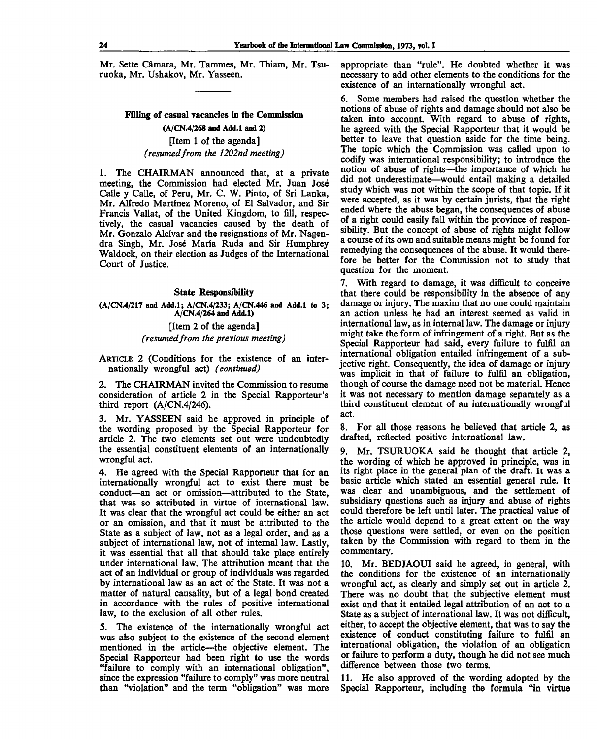Mr. Sette Camara, Mr. Tammes, Mr. Thiam, Mr. Tsuruoka, Mr. Ushakov, Mr. Yasseen.

# **Filling of casual vacancies in the Commission (A/CN.4/268 and Add.l and 2)** [Item 1 of the agenda] *(resumedfrom the 1202nd meeting)*

1. The CHAIRMAN announced that, at a private meeting, the Commission had elected Mr. Juan Jose Calle y Calle, of Peru, Mr. C. W. Pinto, of Sri Lanka, Mr. Alfredo Martinez Moreno, of El Salvador, and Sir Francis Vallat, of the United Kingdom, to fill, respectively, the casual vacancies caused by the death of Mr. Gonzalo Alcivar and the resignations of Mr. Nagendra Singh, Mr. Jos6 Maria Ruda and Sir Humphrey Waldock, on their election as Judges of the International Court of Justice.

#### **State Responsibility**

**(A/CN.4/217 and Add.l; A/CN.4/233; A/CN.446 and Add.l to 3 ; A/CN.4/264 and Add.l)**

## [Item 2 of the agenda] *(resumedfrom the previous meeting)*

ARTICLE 2 (Conditions for the existence of an internationally wrongful act) *(continued)*

2. The CHAIRMAN invited the Commission to resume consideration of article 2 in the Special Rapporteur's third report (A/CN.4/246).

3. Mr. YASSEEN said he approved in principle of the wording proposed by the Special Rapporteur for article 2. The two elements set out were undoubtedly the essential constituent elements of an internationally wrongful act.

4. He agreed with the Special Rapporteur that for an internationally wrongful act to exist there must be conduct—an act or omission—attributed to the State, that was so attributed in virtue of international law. It was clear that the wrongful act could be either an act or an omission, and that it must be attributed to the State as a subject of law, not as a legal order, and as **a** subject of international law, not of internal law. Lastly, it was essential that all that should take place entirely under international law. The attribution meant that the act of an individual or group of individuals was regarded by international law as an act of the State. It was not a matter of natural causality, but of a legal bond created in accordance with the rules of positive international law, to the exclusion of all other rules.

5. The existence of the internationally wrongful act was also subject to the existence of the second element mentioned in the article—the objective element. The Special Rapporteur had been right to use the words "failure to comply with an international obligation", since the expression "failure to comply" was more neutral than "violation" and the term "obligation" was more

appropriate than "rule". He doubted whether it was necessary to add other elements to the conditions for the existence of an internationally wrongful act.

6. Some members had raised the question whether the notions of abuse of rights and damage should not also **be** taken into account. With regard to abuse of rights, he agreed with the Special Rapporteur that it would be better to leave that question aside for the time being. The topic which the Commission was called upon to codify was international responsibility; to introduce the notion of abuse of rights—the importance of which he did not underestimate—would entail making a detailed study which was not within the scope of that topic. If it were accepted, as it was by certain jurists, that the right ended where the abuse began, the consequences of abuse of a right could easily fall within the province of responsibility. But the concept of abuse of rights might follow a course of its own and suitable means might be found for remedying the consequences of the abuse. It would therefore be better for the Commission not to study that question for the moment.

7. With regard to damage, it was difficult to conceive that there could be responsibility in the absence of any damage or injury. The maxim that no one could maintain an action unless he had an interest seemed as valid in international law, as in internal law. The damage or injury might take the form of infringement of a right. But as the Special Rapporteur had said, every failure to fulfil an international obligation entailed infringement of a subjective right. Consequently, the idea of damage or injury was implicit in that of failure to fulfil an obligation, though of course the damage need not be material. Hence it was not necessary to mention damage separately as a third constituent element of an internationally wrongful act.

8. For all those reasons he believed that article 2, as drafted, reflected positive international law.

9. Mr. TSURUOKA said he thought that article 2, the wording of which he approved in principle, was in its right place in the general plan of the draft. It was a basic article which stated an essential general rule. It was clear and unambiguous, and the settlement of subsidiary questions such as injury and abuse of rights could therefore be left until later. The practical value of the article would depend to a great extent on the way those questions were settled, or even on the position taken by the Commission with regard to them in the commentary.

10. Mr. BEDJAOUI said he agreed, in general, with the conditions for the existence of an internationally wrongful act, as clearly and simply set out in article 2. There was no doubt that the subjective element must exist and that it entailed legal attribution of an act to **a** State as a subject of international law. It was not difficult, either, to accept the objective element, that was to say the existence of conduct constituting failure to fulfil an international obligation, the violation of an obligation or failure to perform a duty, though he did not see much difference between those two terms.

11. He also approved of the wording adopted by the Special Rapporteur, including the formula "in virtue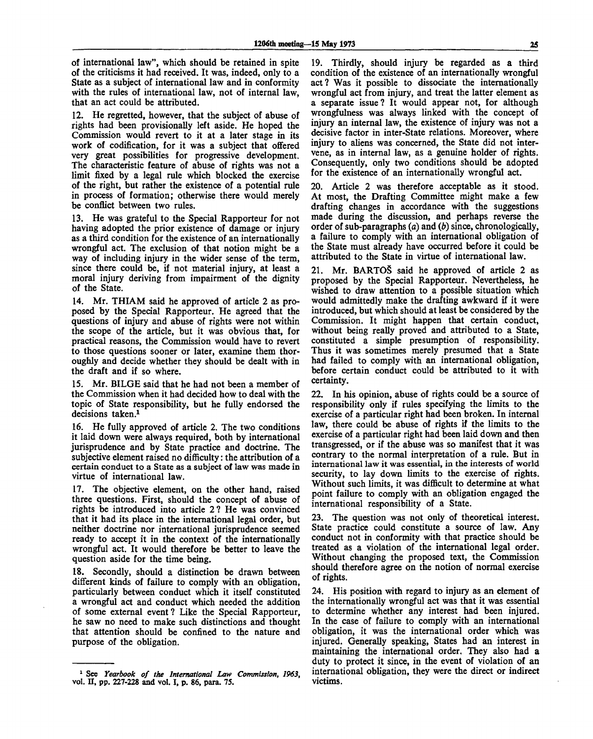of international law", which should be retained in spite of the criticisms it had received. It was, indeed, only to a State as a subject of international law and in conformity with the rules of international law, not of internal law. that an act could be attributed.

12. He regretted, however, that the subject of abuse of rights had been provisionally left aside. He hoped the Commission would revert to it at a later stage in its work of codification, for it was a subject that offered very great possibilities for progressive development. The characteristic feature of abuse of rights was not a limit fixed by a legal rule which blocked the exercise of the right, but rather the existence of a potential rule in process of formation; otherwise there would merely be conflict between two rules.

13. He was grateful to the Special Rapporteur for not having adopted the prior existence of damage or injury as a third condition for the existence of an internationally wrongful act. The exclusion of that notion might be a way of including injury in the wider sense of the term, since there could be, if not material injury, at least a moral injury deriving from impairment of the dignity of the State.

14. Mr. THIAM said he approved of article 2 as proposed by the Special Rapporteur. He agreed that the questions of injury and abuse of rights were not within the scope of the article, but it was obvious that, for practical reasons, the Commission would have to revert to those questions sooner or later, examine them thoroughly and decide whether they should be dealt with in the draft and if so where.

15. Mr. BILGE said that he had not been a member of the Commission when it had decided how to deal with the topic of State responsibility, but he fully endorsed the decisions taken.<sup>1</sup>

16. He fully approved of article 2. The two conditions it laid down were always required, both by international jurisprudence and by State practice and doctrine. The subjective element raised no difficulty: the attribution of a certain conduct to a State as a subject of law was made in virtue of international law.

17. The objective element, on the other hand, raised three questions. First, should the concept of abuse of rights be introduced into article 2? He was convinced that it had its place in the international legal order, but neither doctrine nor international jurisprudence seemed ready to accept it in the context of the internationally wrongful act. It would therefore be better to leave the question aside for the time being.

18. Secondly, should a distinction be drawn between different kinds of failure to comply with an obligation, particularly between conduct which it itself constituted a wrongful act and conduct which needed the addition of some external event? Like the Special Rapporteur, he saw no need to make such distinctions and thought that attention should be confined to the nature and purpose of the obligation.

19. Thirdly, should injury be regarded as a third condition of the existence of an internationally wrongful act? Was it possible to dissociate the internationally wrongful act from injury, and treat the latter element as a separate issue? It would appear not, for although wrongfulness was always linked with the concept of injury an internal law, the existence of injury was not a decisive factor in inter-State relations. Moreover, where injury to aliens was concerned, the State did not intervene, as in internal law, as a genuine holder of rights. Consequently, only two conditions should be adopted for the existence of an internationally wrongful act.

20. Article 2 was therefore acceptable as it stood. At most, the Drafting Committee might make a few drafting changes in accordance with the suggestions made during the discussion, and perhaps reverse the order of sub-paragraphs *(a)* and *(b)* since, chronologically, a failure to comply with an international obligation of the State must already have occurred before it could be attributed to the State in virtue of international law.

21. Mr. BARTOS said he approved of article 2 as proposed by the Special Rapporteur. Nevertheless, he wished to draw attention to a possible situation which would admittedly make the drafting awkward if it were introduced, but which should at least be considered by the Commission. It might happen that certain conduct, without being really proved and attributed to a State, constituted a simple presumption of responsibility. Thus it was sometimes merely presumed that a State had failed to comply with an international obligation, before certain conduct could be attributed to it with certainty.

22. In his opinion, abuse of rights could be a source of responsibility only if rules specifying the limits to the exercise of a particular right had been broken. In internal law, there could be abuse of rights if the limits to the exercise of a particular right had been laid down and then transgressed, or if the abuse was so manifest that it was contrary to the normal interpretation of a rule. But in international law it was essential, in the interests of world security, to lay down limits to the exercise of rights. Without such limits, it was difficult to determine at what point failure to comply with an obligation engaged the international responsibility of a State.

23. The question was not only of theoretical interest. State practice could constitute a source of law. Any conduct not in conformity with that practice should be treated as a violation of the international legal order. Without changing the proposed text, the Commission should therefore agree on the notion of normal exercise of rights.

24. His position with regard to injury as an element of the internationally wrongful act was that it was essential to determine whether any interest had been injured. In the case of failure to comply with an international obligation, it was the international order which was injured. Generally speaking, States had an interest in maintaining the international order. They also had a duty to protect it since, in the event of violation of an international obligation, they were the direct or indirect victims.

<sup>1</sup> See *Yearbook of the International Law Commission, 1963,* vol. **II,** pp. 227-228 and vol. I, p. 86, para. 75.